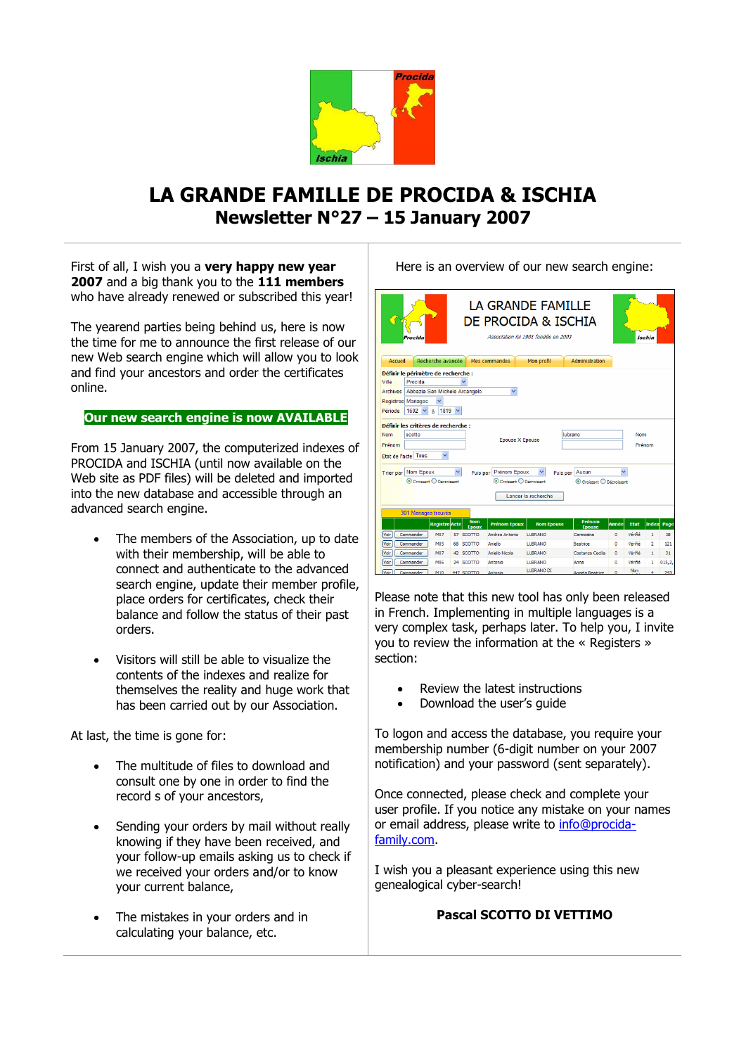

# **LA GRANDE FAMILLE DE PROCIDA & ISCHIA Newsletter N°27 – 15 January 2007**

First of all, I wish you a **very happy new year 2007** and a big thank you to the **111 members** who have already renewed or subscribed this year!

The yearend parties being behind us, here is now the time for me to announce the first release of our new Web search engine which will allow you to look and find your ancestors and order the certificates online.

# **Our new search engine is now AVAILABLE**

From 15 January 2007, the computerized indexes of PROCIDA and ISCHIA (until now available on the Web site as PDF files) will be deleted and imported into the new database and accessible through an advanced search engine.

- The members of the Association, up to date with their membership, will be able to connect and authenticate to the advanced search engine, update their member profile, place orders for certificates, check their balance and follow the status of their past orders.
- Visitors will still be able to visualize the contents of the indexes and realize for themselves the reality and huge work that has been carried out by our Association.

At last, the time is gone for:

- The multitude of files to download and consult one by one in order to find the record s of your ancestors,
- Sending your orders by mail without really knowing if they have been received, and your follow-up emails asking us to check if we received your orders and/or to know your current balance,
- The mistakes in your orders and in calculating your balance, etc.

Here is an overview of our new search engine:

| LA GRANDE FAMILLE<br>DE PROCIDA & ISCHIA<br>Association loi 1901 fondée en 2003<br>Ischia<br>rocida                                                                             |                      |                      |    |                           |                                                           |                   |                            |           |             |                |        |
|---------------------------------------------------------------------------------------------------------------------------------------------------------------------------------|----------------------|----------------------|----|---------------------------|-----------------------------------------------------------|-------------------|----------------------------|-----------|-------------|----------------|--------|
| Accueil                                                                                                                                                                         |                      | Recherche avancée    |    |                           | Mes commandes                                             | Mon profil        | Administration             |           |             |                |        |
| Définir le périmètre de recherche :<br>Ville<br>Procida<br>Archives Abbazia San Michele Arcangelo<br><b>Registres Mariages</b><br>$1819 \times$<br>Période<br>$1602 \times$     |                      |                      |    |                           |                                                           |                   |                            |           |             |                |        |
| Définir les critères de recherche :<br>scotto<br><b>Nom</b><br>Prénom<br>Etat de l'acte Tous<br>$\checkmark$                                                                    |                      |                      |    |                           | lubrano<br><b>Nom</b><br><b>Epouse X Epouse</b><br>Prénom |                   |                            |           |             |                |        |
| Puis par Prénom Epoux<br><b>Trier par Nom Epoux</b><br>Puis par Aucun<br>© Croissant © Décroissant<br>Croissant D Décroissant<br>Croissant O Décroissant<br>Lancer la recherche |                      |                      |    |                           |                                                           |                   |                            |           |             |                |        |
|                                                                                                                                                                                 | 301 Mariages trouvés | <b>Registre</b> Acte |    | <b>Nom</b>                | <b>Prénom Epoux</b>                                       | <b>Nom Epouse</b> | Prénom                     | Année     | <b>Etat</b> | Index          | Page   |
| Voir                                                                                                                                                                            | Commander            | <b>M07</b>           |    | <b>Enoux</b><br>57 SCOTTO | Andrea Antonio                                            | <b>LUBRANO</b>    | <b>Epouse</b><br>Carmosina | $\circ$   | Vérifié     | 1              | 38     |
| Voir                                                                                                                                                                            | Commander            | MO <sub>5</sub>      | 68 | <b>SCOTTO</b>             | Aniello                                                   | <b>LUBRANO</b>    | <b>Beatrice</b>            | $\Omega$  | Vérifié     | $\overline{2}$ | 121    |
| Voir                                                                                                                                                                            | Commander            | <b>M07</b>           |    | 42 SCOTTO                 | Aniello Nicola                                            | <b>LUBRANO</b>    | Costanza Cecilia           | $\bullet$ | Vérifié     | $\mathbf{1}$   | 31     |
| Voir                                                                                                                                                                            | Commander            | M06                  |    | 24 SCOTTO                 | Antonio                                                   | <b>LUBRANO</b>    | Anna                       | o         | Vérifié     | 1              | 015.2. |
| Voir                                                                                                                                                                            | Commander            | <b>M10</b>           |    | 447 SCOTTO                | Antonio                                                   | <b>LUBRANO DI</b> | Annela Beatrice            | $\Delta$  | Non         |                | 243    |

Please note that this new tool has only been released in French. Implementing in multiple languages is a very complex task, perhaps later. To help you, I invite you to review the information at the « Registers » section:

- Review the latest instructions
- Download the user's guide

To logon and access the database, you require your membership number (6-digit number on your 2007 notification) and your password (sent separately).

Once connected, please check and complete your user profile. If you notice any mistake on your names or email address, please write to [info@procida](mailto:info@procida-family.com)[family.com.](mailto:info@procida-family.com)

I wish you a pleasant experience using this new genealogical cyber-search!

#### **Pascal SCOTTO DI VETTIMO**